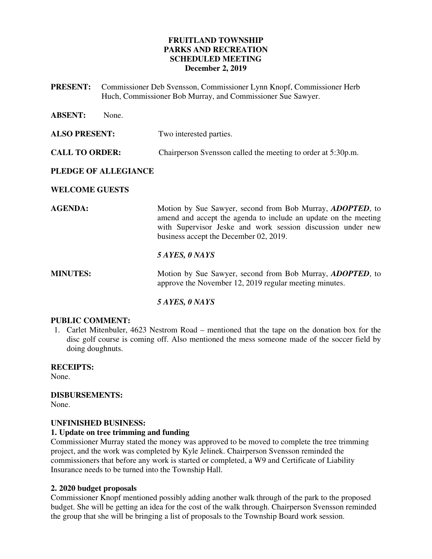## **FRUITLAND TOWNSHIP PARKS AND RECREATION SCHEDULED MEETING December 2, 2019**

**PRESENT:** Commissioner Deb Svensson, Commissioner Lynn Knopf, Commissioner Herb Huch, Commissioner Bob Murray, and Commissioner Sue Sawyer.

| <b>ABSENT:</b>        | None. |                                                                                                                                                                                                                                               |
|-----------------------|-------|-----------------------------------------------------------------------------------------------------------------------------------------------------------------------------------------------------------------------------------------------|
| <b>ALSO PRESENT:</b>  |       | Two interested parties.                                                                                                                                                                                                                       |
| <b>CALL TO ORDER:</b> |       | Chairperson Svensson called the meeting to order at 5:30p.m.                                                                                                                                                                                  |
| PLEDGE OF ALLEGIANCE  |       |                                                                                                                                                                                                                                               |
| <b>WELCOME GUESTS</b> |       |                                                                                                                                                                                                                                               |
| <b>AGENDA:</b>        |       | Motion by Sue Sawyer, second from Bob Murray, <i>ADOPTED</i> , to<br>amend and accept the agenda to include an update on the meeting<br>with Supervisor Jeske and work session discussion under new<br>business accept the December 02, 2019. |
|                       |       | 5 AYES, 0 NAYS                                                                                                                                                                                                                                |
| <b>MINUTES:</b>       |       | Motion by Sue Sawyer, second from Bob Murray, <i>ADOPTED</i> , to<br>approve the November 12, 2019 regular meeting minutes.                                                                                                                   |
|                       |       | 5 AYES, 0 NAYS                                                                                                                                                                                                                                |

### **PUBLIC COMMENT:**

1. Carlet Mitenbuler, 4623 Nestrom Road – mentioned that the tape on the donation box for the disc golf course is coming off. Also mentioned the mess someone made of the soccer field by doing doughnuts.

**RECEIPTS:**  None.

**DISBURSEMENTS:**  None.

### **UNFINISHED BUSINESS:**

## **1. Update on tree trimming and funding**

Commissioner Murray stated the money was approved to be moved to complete the tree trimming project, and the work was completed by Kyle Jelinek. Chairperson Svensson reminded the commissioners that before any work is started or completed, a W9 and Certificate of Liability Insurance needs to be turned into the Township Hall.

### **2. 2020 budget proposals**

Commissioner Knopf mentioned possibly adding another walk through of the park to the proposed budget. She will be getting an idea for the cost of the walk through. Chairperson Svensson reminded the group that she will be bringing a list of proposals to the Township Board work session.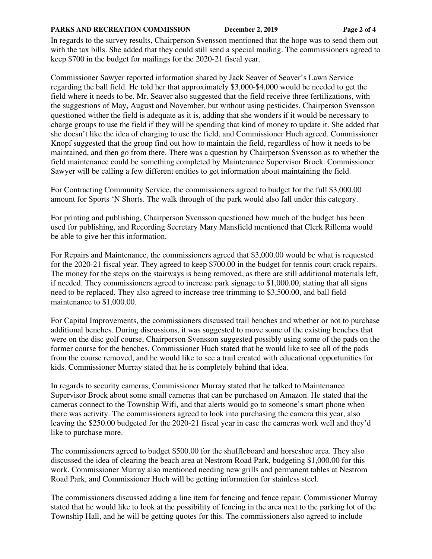#### **PARKS AND RECREATION COMMISSION** December 2, 2019 Page 2 of 4

In regards to the survey results, Chairperson Svensson mentioned that the hope was to send them out with the tax bills. She added that they could still send a special mailing. The commissioners agreed to keep \$700 in the budget for mailings for the 2020-21 fiscal year.

Commissioner Sawyer reported information shared by Jack Seaver of Seaver's Lawn Service regarding the ball field. He told her that approximately \$3,000-\$4,000 would be needed to get the field where it needs to be. Mr. Seaver also suggested that the field receive three fertilizations, with the suggestions of May, August and November, but without using pesticides. Chairperson Svensson questioned wither the field is adequate as it is, adding that she wonders if it would be necessary to charge groups to use the field if they will be spending that kind of money to update it. She added that she doesn't like the idea of charging to use the field, and Commissioner Huch agreed. Commissioner Knopf suggested that the group find out how to maintain the field, regardless of how it needs to be maintained, and then go from there. There was a question by Chairperson Svensson as to whether the field maintenance could be something completed by Maintenance Supervisor Brock. Commissioner Sawyer will be calling a few different entities to get information about maintaining the field.

For Contracting Community Service, the commissioners agreed to budget for the full \$3,000.00 amount for Sports 'N Shorts. The walk through of the park would also fall under this category.

For printing and publishing, Chairperson Svensson questioned how much of the budget has been used for publishing, and Recording Secretary Mary Mansfield mentioned that Clerk Rillema would be able to give her this information.

For Repairs and Maintenance, the commissioners agreed that \$3,000.00 would be what is requested for the 2020-21 fiscal year. They agreed to keep \$700.00 in the budget for tennis court crack repairs. The money for the steps on the stairways is being removed, as there are still additional materials left, if needed. They commissioners agreed to increase park signage to \$1,000.00, stating that all signs need to be replaced. They also agreed to increase tree trimming to \$3,500.00, and ball field maintenance to \$1,000.00.

For Capital Improvements, the commissioners discussed trail benches and whether or not to purchase additional benches. During discussions, it was suggested to move some of the existing benches that were on the disc golf course, Chairperson Svensson suggested possibly using some of the pads on the former course for the benches. Commissioner Huch stated that he would like to see all of the pads from the course removed, and he would like to see a trail created with educational opportunities for kids. Commissioner Murray stated that he is completely behind that idea.

In regards to security cameras, Commissioner Murray stated that he talked to Maintenance Supervisor Brock about some small cameras that can be purchased on Amazon. He stated that the cameras connect to the Township Wifi, and that alerts would go to someone's smart phone when there was activity. The commissioners agreed to look into purchasing the camera this year, also leaving the \$250.00 budgeted for the 2020-21 fiscal year in case the cameras work well and they'd like to purchase more.

The commissioners agreed to budget \$500.00 for the shuffleboard and horseshoe area. They also discussed the idea of clearing the beach area at Nestrom Road Park, budgeting \$1,000.00 for this work. Commissioner Murray also mentioned needing new grills and permanent tables at Nestrom Road Park, and Commissioner Huch will be getting information for stainless steel.

The commissioners discussed adding a line item for fencing and fence repair. Commissioner Murray stated that he would like to look at the possibility of fencing in the area next to the parking lot of the Township Hall, and he will be getting quotes for this. The commissioners also agreed to include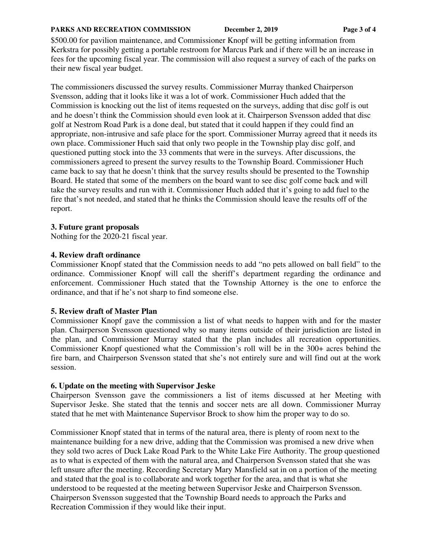#### **PARKS AND RECREATION COMMISSION** December 2, 2019 Page 3 of 4

\$500.00 for pavilion maintenance, and Commissioner Knopf will be getting information from Kerkstra for possibly getting a portable restroom for Marcus Park and if there will be an increase in fees for the upcoming fiscal year. The commission will also request a survey of each of the parks on their new fiscal year budget.

The commissioners discussed the survey results. Commissioner Murray thanked Chairperson Svensson, adding that it looks like it was a lot of work. Commissioner Huch added that the Commission is knocking out the list of items requested on the surveys, adding that disc golf is out and he doesn't think the Commission should even look at it. Chairperson Svensson added that disc golf at Nestrom Road Park is a done deal, but stated that it could happen if they could find an appropriate, non-intrusive and safe place for the sport. Commissioner Murray agreed that it needs its own place. Commissioner Huch said that only two people in the Township play disc golf, and questioned putting stock into the 33 comments that were in the surveys. After discussions, the commissioners agreed to present the survey results to the Township Board. Commissioner Huch came back to say that he doesn't think that the survey results should be presented to the Township Board. He stated that some of the members on the board want to see disc golf come back and will take the survey results and run with it. Commissioner Huch added that it's going to add fuel to the fire that's not needed, and stated that he thinks the Commission should leave the results off of the report.

### **3. Future grant proposals**

Nothing for the 2020-21 fiscal year.

### **4. Review draft ordinance**

Commissioner Knopf stated that the Commission needs to add "no pets allowed on ball field" to the ordinance. Commissioner Knopf will call the sheriff's department regarding the ordinance and enforcement. Commissioner Huch stated that the Township Attorney is the one to enforce the ordinance, and that if he's not sharp to find someone else.

## **5. Review draft of Master Plan**

Commissioner Knopf gave the commission a list of what needs to happen with and for the master plan. Chairperson Svensson questioned why so many items outside of their jurisdiction are listed in the plan, and Commissioner Murray stated that the plan includes all recreation opportunities. Commissioner Knopf questioned what the Commission's roll will be in the 300+ acres behind the fire barn, and Chairperson Svensson stated that she's not entirely sure and will find out at the work session.

## **6. Update on the meeting with Supervisor Jeske**

Chairperson Svensson gave the commissioners a list of items discussed at her Meeting with Supervisor Jeske. She stated that the tennis and soccer nets are all down. Commissioner Murray stated that he met with Maintenance Supervisor Brock to show him the proper way to do so.

Commissioner Knopf stated that in terms of the natural area, there is plenty of room next to the maintenance building for a new drive, adding that the Commission was promised a new drive when they sold two acres of Duck Lake Road Park to the White Lake Fire Authority. The group questioned as to what is expected of them with the natural area, and Chairperson Svensson stated that she was left unsure after the meeting. Recording Secretary Mary Mansfield sat in on a portion of the meeting and stated that the goal is to collaborate and work together for the area, and that is what she understood to be requested at the meeting between Supervisor Jeske and Chairperson Svensson. Chairperson Svensson suggested that the Township Board needs to approach the Parks and Recreation Commission if they would like their input.